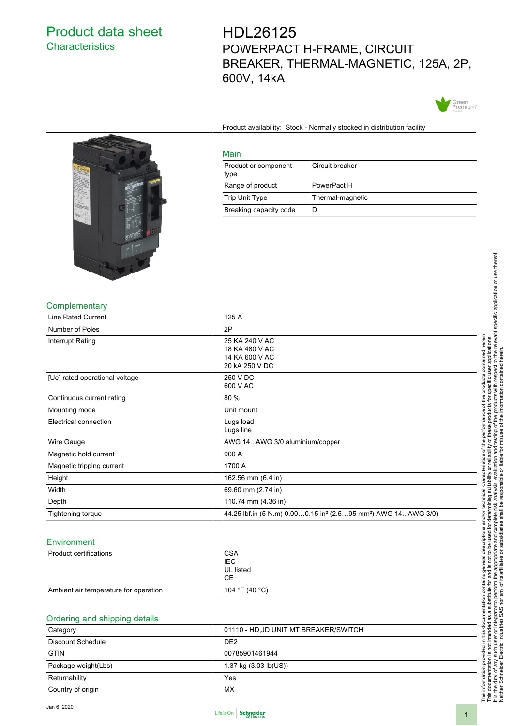# Product data sheet **Characteristics**

HDL26125 POWERPACT H-FRAME, CIRCUIT BREAKER, THERMAL-MAGNETIC, 125A, 2P, 600V, 14kA



Product availability: Stock - Normally stocked in distribution facility

Circuit breaker



#### **Complementary**

| <b>UUITUIGHIGHAI Y</b>         |                                                                                       |
|--------------------------------|---------------------------------------------------------------------------------------|
| <b>Line Rated Current</b>      | 125 A                                                                                 |
| Number of Poles                | 2P                                                                                    |
| Interrupt Rating               | 25 KA 240 V AC                                                                        |
|                                | 18 KA 480 V AC                                                                        |
|                                | 14 KA 600 V AC                                                                        |
|                                | 20 kA 250 V DC                                                                        |
| [Ue] rated operational voltage | 250 V DC                                                                              |
|                                | 600 V AC                                                                              |
| Continuous current rating      | 80 %                                                                                  |
| Mounting mode                  | Unit mount                                                                            |
| Electrical connection          | Lugs load                                                                             |
|                                | Lugs line                                                                             |
| Wire Gauge                     | AWG 14AWG 3/0 aluminium/copper                                                        |
| Magnetic hold current          | 900 A                                                                                 |
| Magnetic tripping current      | 1700 A                                                                                |
| Height                         | 162.56 mm (6.4 in)                                                                    |
| Width                          | 69.60 mm (2.74 in)                                                                    |
| Depth                          | 110.74 mm (4.36 in)                                                                   |
| Tightening torque              | 44.25 lbf.in (5 N.m) 0.000.15 in <sup>2</sup> (2.595 mm <sup>2</sup> ) AWG 14AWG 3/0) |
|                                |                                                                                       |

Main

type

Product or component

Range of product PowerPact H Trip Unit Type Thermal-magnetic

Breaking capacity code D

### **Environment**

| <b>Product certifications</b>         | <b>CSA</b><br><b>IEC</b><br>UL listed<br>CE. |  |
|---------------------------------------|----------------------------------------------|--|
| Ambient air temperature for operation | 104 °F (40 °C)                               |  |
|                                       |                                              |  |

## Ordering and shipping details

| $\sim$<br>$\overline{\phantom{a}}$ |                                       |
|------------------------------------|---------------------------------------|
| Category                           | 01110 - HD, JD UNIT MT BREAKER/SWITCH |
| <b>Discount Schedule</b>           | DE <sub>2</sub>                       |
| <b>GTIN</b>                        | 00785901461944                        |
| Package weight(Lbs)                | 1.37 kg $(3.03 \text{ lb}(US))$       |
| Returnability                      | Yes                                   |
| Country of origin                  | MX                                    |